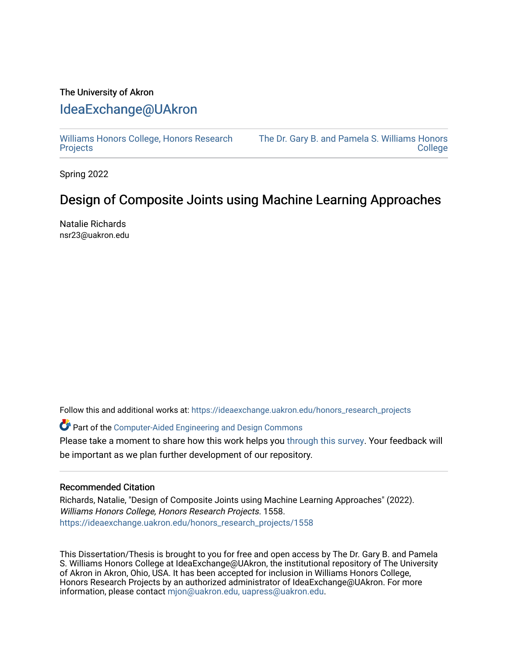## The University of Akron [IdeaExchange@UAkron](https://ideaexchange.uakron.edu/)

[Williams Honors College, Honors Research](https://ideaexchange.uakron.edu/honors_research_projects)  **[Projects](https://ideaexchange.uakron.edu/honors_research_projects)** 

[The Dr. Gary B. and Pamela S. Williams Honors](https://ideaexchange.uakron.edu/honorscollege_ideas)  **College** 

Spring 2022

## Design of Composite Joints using Machine Learning Approaches

Natalie Richards nsr23@uakron.edu

Follow this and additional works at: [https://ideaexchange.uakron.edu/honors\\_research\\_projects](https://ideaexchange.uakron.edu/honors_research_projects?utm_source=ideaexchange.uakron.edu%2Fhonors_research_projects%2F1558&utm_medium=PDF&utm_campaign=PDFCoverPages) 

Part of the [Computer-Aided Engineering and Design Commons](http://network.bepress.com/hgg/discipline/297?utm_source=ideaexchange.uakron.edu%2Fhonors_research_projects%2F1558&utm_medium=PDF&utm_campaign=PDFCoverPages) 

Please take a moment to share how this work helps you [through this survey](http://survey.az1.qualtrics.com/SE/?SID=SV_eEVH54oiCbOw05f&URL=https://ideaexchange.uakron.edu/honors_research_projects/1558). Your feedback will be important as we plan further development of our repository.

## Recommended Citation

Richards, Natalie, "Design of Composite Joints using Machine Learning Approaches" (2022). Williams Honors College, Honors Research Projects. 1558. [https://ideaexchange.uakron.edu/honors\\_research\\_projects/1558](https://ideaexchange.uakron.edu/honors_research_projects/1558?utm_source=ideaexchange.uakron.edu%2Fhonors_research_projects%2F1558&utm_medium=PDF&utm_campaign=PDFCoverPages) 

This Dissertation/Thesis is brought to you for free and open access by The Dr. Gary B. and Pamela S. Williams Honors College at IdeaExchange@UAkron, the institutional repository of The University of Akron in Akron, Ohio, USA. It has been accepted for inclusion in Williams Honors College, Honors Research Projects by an authorized administrator of IdeaExchange@UAkron. For more information, please contact [mjon@uakron.edu, uapress@uakron.edu.](mailto:mjon@uakron.edu,%20uapress@uakron.edu)